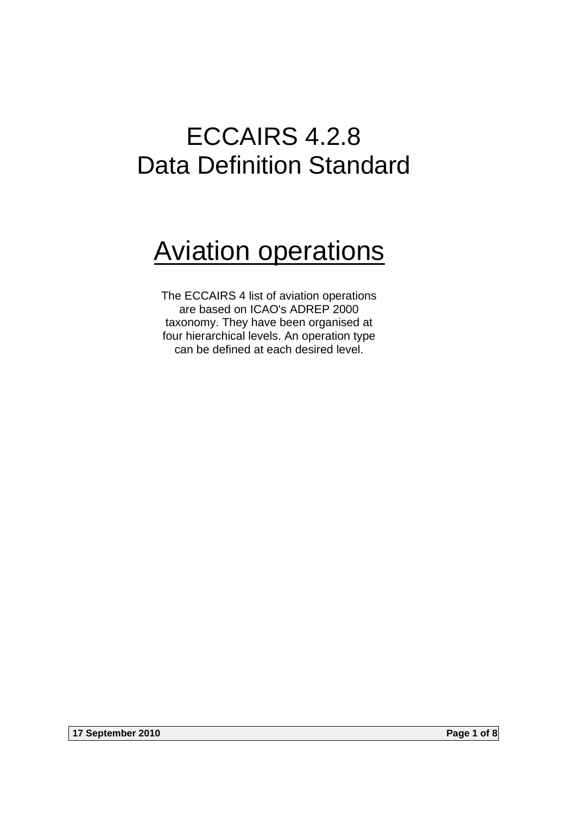## ECCAIRS 4.2.8 Data Definition Standard

# Aviation operations

The ECCAIRS 4 list of aviation operations are based on ICAO's ADREP 2000 taxonomy. They have been organised at four hierarchical levels. An operation type can be defined at each desired level.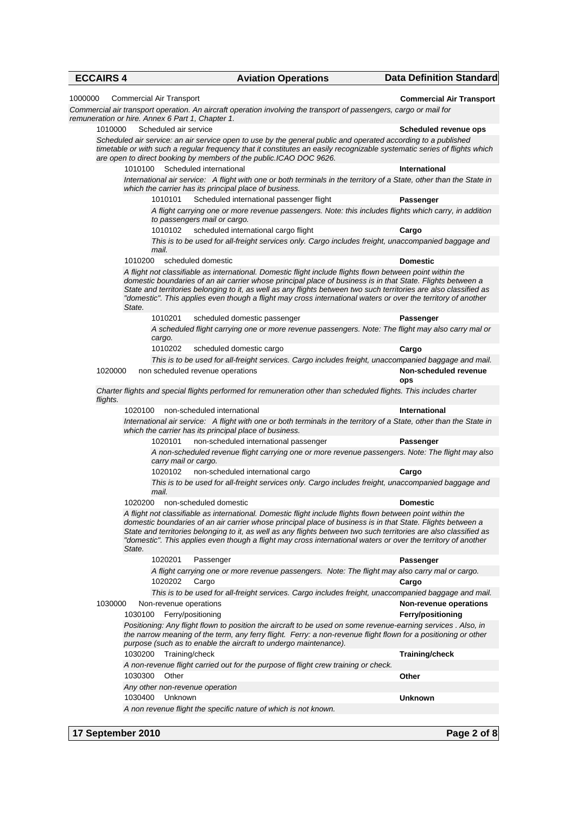| <b>ECCAIRS 4</b> |                                                  | <b>Aviation Operations</b>                                                                                                                                                                                                                                                                                                                                                                                                                                      | <b>Data Definition Standard</b>                    |
|------------------|--------------------------------------------------|-----------------------------------------------------------------------------------------------------------------------------------------------------------------------------------------------------------------------------------------------------------------------------------------------------------------------------------------------------------------------------------------------------------------------------------------------------------------|----------------------------------------------------|
| 1000000          | <b>Commercial Air Transport</b>                  |                                                                                                                                                                                                                                                                                                                                                                                                                                                                 | <b>Commercial Air Transport</b>                    |
|                  | remuneration or hire. Annex 6 Part 1, Chapter 1. | Commercial air transport operation. An aircraft operation involving the transport of passengers, cargo or mail for                                                                                                                                                                                                                                                                                                                                              |                                                    |
| 1010000          | Scheduled air service                            |                                                                                                                                                                                                                                                                                                                                                                                                                                                                 | Scheduled revenue ops                              |
|                  |                                                  | Scheduled air service: an air service open to use by the general public and operated according to a published<br>timetable or with such a regular frequency that it constitutes an easily recognizable systematic series of flights which<br>are open to direct booking by members of the public.ICAO DOC 9626.                                                                                                                                                 |                                                    |
|                  | 1010100                                          | Scheduled international                                                                                                                                                                                                                                                                                                                                                                                                                                         | International                                      |
|                  |                                                  | International air service: A flight with one or both terminals in the territory of a State, other than the State in<br>which the carrier has its principal place of business.                                                                                                                                                                                                                                                                                   |                                                    |
|                  | 1010101                                          | Scheduled international passenger flight                                                                                                                                                                                                                                                                                                                                                                                                                        | Passenger                                          |
|                  |                                                  | A flight carrying one or more revenue passengers. Note: this includes flights which carry, in addition<br>to passengers mail or cargo.                                                                                                                                                                                                                                                                                                                          |                                                    |
|                  | 1010102<br>mail.                                 | scheduled international cargo flight<br>This is to be used for all-freight services only. Cargo includes freight, unaccompanied baggage and                                                                                                                                                                                                                                                                                                                     | Cargo                                              |
|                  | 1010200                                          | scheduled domestic                                                                                                                                                                                                                                                                                                                                                                                                                                              | <b>Domestic</b>                                    |
|                  | State.                                           | A flight not classifiable as international. Domestic flight include flights flown between point within the<br>domestic boundaries of an air carrier whose principal place of business is in that State. Flights between a<br>State and territories belonging to it, as well as any flights between two such territories are also classified as<br>"domestic". This applies even though a flight may cross international waters or over the territory of another |                                                    |
|                  | 1010201                                          | scheduled domestic passenger                                                                                                                                                                                                                                                                                                                                                                                                                                    | Passenger                                          |
|                  | cargo.                                           | A scheduled flight carrying one or more revenue passengers. Note: The flight may also carry mal or                                                                                                                                                                                                                                                                                                                                                              |                                                    |
|                  | 1010202                                          | scheduled domestic cargo                                                                                                                                                                                                                                                                                                                                                                                                                                        | Cargo                                              |
|                  |                                                  | This is to be used for all-freight services. Cargo includes freight, unaccompanied baggage and mail.                                                                                                                                                                                                                                                                                                                                                            |                                                    |
| 1020000          |                                                  | non scheduled revenue operations                                                                                                                                                                                                                                                                                                                                                                                                                                | Non-scheduled revenue<br><b>ops</b>                |
| flights.         |                                                  | Charter flights and special flights performed for remuneration other than scheduled flights. This includes charter                                                                                                                                                                                                                                                                                                                                              |                                                    |
|                  | 1020100                                          | non-scheduled international                                                                                                                                                                                                                                                                                                                                                                                                                                     | International                                      |
|                  |                                                  | International air service: A flight with one or both terminals in the territory of a State, other than the State in<br>which the carrier has its principal place of business.                                                                                                                                                                                                                                                                                   |                                                    |
|                  | 1020101                                          | non-scheduled international passenger                                                                                                                                                                                                                                                                                                                                                                                                                           | Passenger                                          |
|                  | carry mail or cargo.                             | A non-scheduled revenue flight carrying one or more revenue passengers. Note: The flight may also                                                                                                                                                                                                                                                                                                                                                               |                                                    |
|                  | 1020102                                          | non-scheduled international cargo                                                                                                                                                                                                                                                                                                                                                                                                                               | Cargo                                              |
|                  | mail.                                            | This is to be used for all-freight services only. Cargo includes freight, unaccompanied baggage and                                                                                                                                                                                                                                                                                                                                                             |                                                    |
|                  | 1020200 non-scheduled domestic                   | A flight not classifiable as international. Domestic flight include flights flown between point within the                                                                                                                                                                                                                                                                                                                                                      | <b>Domestic</b>                                    |
|                  | State.                                           | domestic boundaries of an air carrier whose principal place of business is in that State. Flights between a<br>State and territories belonging to it, as well as any flights between two such territories are also classified as<br>"domestic". This applies even though a flight may cross international waters or over the territory of another                                                                                                               |                                                    |
|                  | 1020201                                          | Passenger                                                                                                                                                                                                                                                                                                                                                                                                                                                       | Passenger                                          |
|                  |                                                  | A flight carrying one or more revenue passengers. Note: The flight may also carry mal or cargo.                                                                                                                                                                                                                                                                                                                                                                 |                                                    |
|                  | 1020202                                          | Cargo                                                                                                                                                                                                                                                                                                                                                                                                                                                           | Cargo                                              |
| 1030000          |                                                  | This is to be used for all-freight services. Cargo includes freight, unaccompanied baggage and mail.                                                                                                                                                                                                                                                                                                                                                            |                                                    |
|                  | Non-revenue operations<br>1030100                | Ferry/positioning                                                                                                                                                                                                                                                                                                                                                                                                                                               | Non-revenue operations<br><b>Ferry/positioning</b> |
|                  |                                                  | Positioning: Any flight flown to position the aircraft to be used on some revenue-earning services . Also, in                                                                                                                                                                                                                                                                                                                                                   |                                                    |
|                  |                                                  | the narrow meaning of the term, any ferry flight. Ferry: a non-revenue flight flown for a positioning or other<br>purpose (such as to enable the aircraft to undergo maintenance).                                                                                                                                                                                                                                                                              |                                                    |
|                  | 1030200 Training/check                           |                                                                                                                                                                                                                                                                                                                                                                                                                                                                 | <b>Training/check</b>                              |
|                  | 1030300<br>Other                                 | A non-revenue flight carried out for the purpose of flight crew training or check.                                                                                                                                                                                                                                                                                                                                                                              | Other                                              |
|                  | Any other non-revenue operation                  |                                                                                                                                                                                                                                                                                                                                                                                                                                                                 |                                                    |
|                  | 1030400<br>Unknown                               |                                                                                                                                                                                                                                                                                                                                                                                                                                                                 | <b>Unknown</b>                                     |
|                  |                                                  | A non revenue flight the specific nature of which is not known.                                                                                                                                                                                                                                                                                                                                                                                                 |                                                    |
|                  |                                                  |                                                                                                                                                                                                                                                                                                                                                                                                                                                                 |                                                    |

**17 September 2010 Page 2 of 8**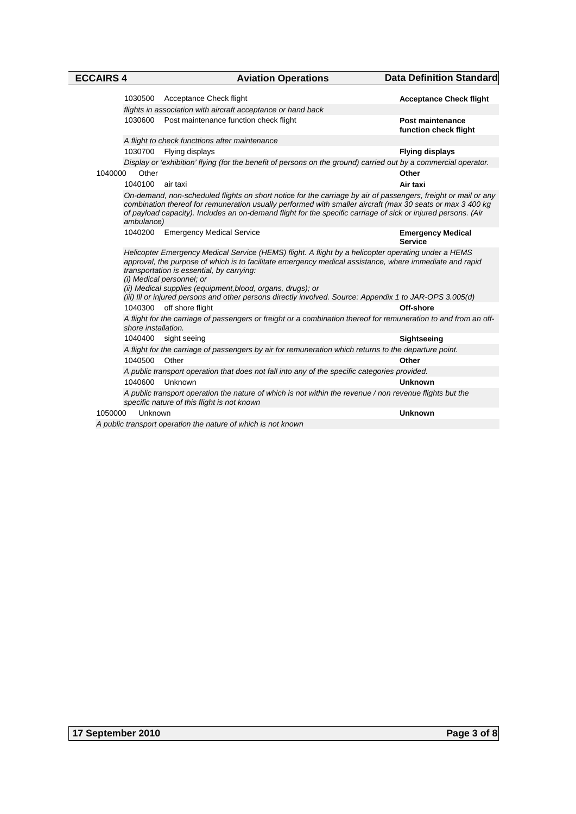| <b>ECCAIRS 4</b> |                     | <b>Aviation Operations</b>                                                                                                                                                                                                                                                                                                                                                                                                                                          | <b>Data Definition Standard</b>            |
|------------------|---------------------|---------------------------------------------------------------------------------------------------------------------------------------------------------------------------------------------------------------------------------------------------------------------------------------------------------------------------------------------------------------------------------------------------------------------------------------------------------------------|--------------------------------------------|
|                  | 1030500             | Acceptance Check flight                                                                                                                                                                                                                                                                                                                                                                                                                                             | <b>Acceptance Check flight</b>             |
|                  |                     | flights in association with aircraft acceptance or hand back                                                                                                                                                                                                                                                                                                                                                                                                        |                                            |
|                  | 1030600             | Post maintenance function check flight                                                                                                                                                                                                                                                                                                                                                                                                                              | Post maintenance<br>function check flight  |
|                  |                     | A flight to check functtions after maintenance                                                                                                                                                                                                                                                                                                                                                                                                                      |                                            |
|                  | 1030700             | Flying displays                                                                                                                                                                                                                                                                                                                                                                                                                                                     | <b>Flying displays</b>                     |
|                  |                     | Display or 'exhibition' flying (for the benefit of persons on the ground) carried out by a commercial operator.                                                                                                                                                                                                                                                                                                                                                     |                                            |
| 1040000          | Other               |                                                                                                                                                                                                                                                                                                                                                                                                                                                                     | Other                                      |
|                  | 1040100             | air taxi                                                                                                                                                                                                                                                                                                                                                                                                                                                            | Air taxi                                   |
|                  | ambulance)          | On-demand, non-scheduled flights on short notice for the carriage by air of passengers, freight or mail or any<br>combination thereof for remuneration usually performed with smaller aircraft (max 30 seats or max 3 400 kg<br>of payload capacity). Includes an on-demand flight for the specific carriage of sick or injured persons. (Air                                                                                                                       |                                            |
|                  | 1040200             | <b>Emergency Medical Service</b>                                                                                                                                                                                                                                                                                                                                                                                                                                    | <b>Emergency Medical</b><br><b>Service</b> |
|                  |                     | Helicopter Emergency Medical Service (HEMS) flight. A flight by a helicopter operating under a HEMS<br>approval, the purpose of which is to facilitate emergency medical assistance, where immediate and rapid<br>transportation is essential, by carrying:<br>(i) Medical personnel; or<br>(ii) Medical supplies (equipment, blood, organs, drugs); or<br>(iii) Ill or injured persons and other persons directly involved. Source: Appendix 1 to JAR-OPS 3.005(d) |                                            |
|                  | 1040300             | off shore flight                                                                                                                                                                                                                                                                                                                                                                                                                                                    | Off-shore                                  |
|                  | shore installation. | A flight for the carriage of passengers or freight or a combination thereof for remuneration to and from an off-                                                                                                                                                                                                                                                                                                                                                    |                                            |
|                  | 1040400             | sight seeing                                                                                                                                                                                                                                                                                                                                                                                                                                                        | Sightseeing                                |
|                  |                     | A flight for the carriage of passengers by air for remuneration which returns to the departure point.                                                                                                                                                                                                                                                                                                                                                               |                                            |
|                  | 1040500             | Other                                                                                                                                                                                                                                                                                                                                                                                                                                                               | Other                                      |
|                  |                     | A public transport operation that does not fall into any of the specific categories provided.                                                                                                                                                                                                                                                                                                                                                                       |                                            |
|                  | 1040600             | Unknown                                                                                                                                                                                                                                                                                                                                                                                                                                                             | <b>Unknown</b>                             |
|                  |                     | A public transport operation the nature of which is not within the revenue / non revenue flights but the<br>specific nature of this flight is not known                                                                                                                                                                                                                                                                                                             |                                            |
| 1050000          | Unknown             |                                                                                                                                                                                                                                                                                                                                                                                                                                                                     | <b>Unknown</b>                             |
|                  |                     | A public transport operation the nature of which is not known                                                                                                                                                                                                                                                                                                                                                                                                       |                                            |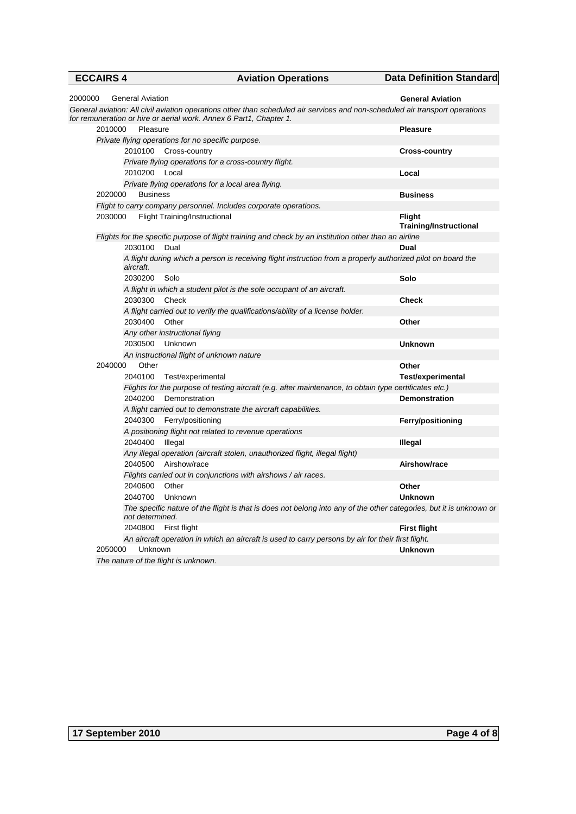| <b>ECCAIRS 4</b> |                         | <b>Aviation Operations</b>                                                                                                                                                                         | <b>Data Definition Standard</b>                |  |
|------------------|-------------------------|----------------------------------------------------------------------------------------------------------------------------------------------------------------------------------------------------|------------------------------------------------|--|
| 2000000          | <b>General Aviation</b> |                                                                                                                                                                                                    | <b>General Aviation</b>                        |  |
|                  |                         | General aviation: All civil aviation operations other than scheduled air services and non-scheduled air transport operations<br>for remuneration or hire or aerial work. Annex 6 Part1, Chapter 1. |                                                |  |
| 2010000          | Pleasure                |                                                                                                                                                                                                    | <b>Pleasure</b>                                |  |
|                  |                         | Private flying operations for no specific purpose.                                                                                                                                                 |                                                |  |
|                  |                         | 2010100 Cross-country                                                                                                                                                                              | <b>Cross-country</b>                           |  |
|                  |                         | Private flying operations for a cross-country flight.                                                                                                                                              |                                                |  |
|                  | 2010200                 | Local                                                                                                                                                                                              | Local                                          |  |
|                  |                         | Private flying operations for a local area flying.                                                                                                                                                 |                                                |  |
| 2020000          | <b>Business</b>         |                                                                                                                                                                                                    | <b>Business</b>                                |  |
|                  |                         | Flight to carry company personnel. Includes corporate operations.                                                                                                                                  |                                                |  |
| 2030000          |                         | <b>Flight Training/Instructional</b>                                                                                                                                                               | <b>Flight</b><br><b>Training/Instructional</b> |  |
|                  |                         | Flights for the specific purpose of flight training and check by an institution other than an airline                                                                                              |                                                |  |
|                  | 2030100                 | Dual                                                                                                                                                                                               | Dual                                           |  |
|                  | aircraft.               | A flight during which a person is receiving flight instruction from a properly authorized pilot on board the                                                                                       |                                                |  |
|                  | 2030200                 | Solo                                                                                                                                                                                               | Solo                                           |  |
|                  |                         | A flight in which a student pilot is the sole occupant of an aircraft.                                                                                                                             |                                                |  |
|                  | 2030300                 | Check                                                                                                                                                                                              | <b>Check</b>                                   |  |
|                  |                         | A flight carried out to verify the qualifications/ability of a license holder.                                                                                                                     |                                                |  |
|                  | 2030400                 | Other                                                                                                                                                                                              | Other                                          |  |
|                  |                         | Any other instructional flying                                                                                                                                                                     |                                                |  |
|                  | 2030500                 | Unknown                                                                                                                                                                                            | <b>Unknown</b>                                 |  |
|                  |                         | An instructional flight of unknown nature                                                                                                                                                          |                                                |  |
| 2040000          | Other                   |                                                                                                                                                                                                    | Other                                          |  |
|                  | 2040100                 | Test/experimental                                                                                                                                                                                  | <b>Test/experimental</b>                       |  |
|                  |                         | Flights for the purpose of testing aircraft (e.g. after maintenance, to obtain type certificates etc.)                                                                                             |                                                |  |
|                  | 2040200                 | Demonstration                                                                                                                                                                                      | <b>Demonstration</b>                           |  |
|                  |                         | A flight carried out to demonstrate the aircraft capabilities.                                                                                                                                     |                                                |  |
|                  | 2040300                 | Ferry/positioning                                                                                                                                                                                  | Ferry/positioning                              |  |
|                  |                         | A positioning flight not related to revenue operations                                                                                                                                             |                                                |  |
|                  | 2040400                 | Illegal                                                                                                                                                                                            | Illegal                                        |  |
|                  |                         | Any illegal operation (aircraft stolen, unauthorized flight, illegal flight)                                                                                                                       |                                                |  |
|                  | 2040500                 | Airshow/race                                                                                                                                                                                       | Airshow/race                                   |  |
|                  |                         | Flights carried out in conjunctions with airshows / air races.                                                                                                                                     |                                                |  |
|                  | 2040600                 | Other                                                                                                                                                                                              | Other                                          |  |
|                  | 2040700                 | Unknown                                                                                                                                                                                            | <b>Unknown</b>                                 |  |
|                  | not determined.         | The specific nature of the flight is that is does not belong into any of the other categories, but it is unknown or                                                                                |                                                |  |
|                  | 2040800                 | First flight                                                                                                                                                                                       | First flight                                   |  |
|                  |                         | An aircraft operation in which an aircraft is used to carry persons by air for their first flight.                                                                                                 |                                                |  |
| 2050000          | Unknown                 |                                                                                                                                                                                                    | <b>Unknown</b>                                 |  |
|                  |                         | The nature of the flight is unknown.                                                                                                                                                               |                                                |  |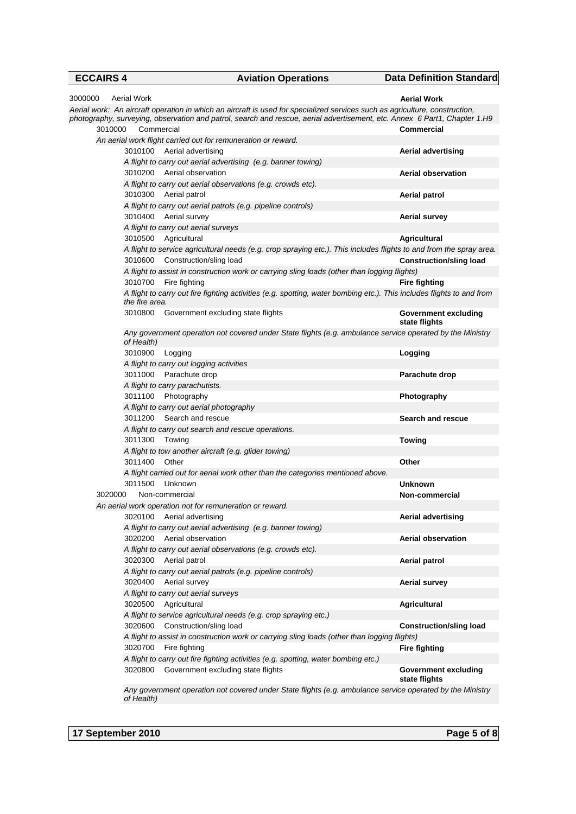**ECCAIRS 4 Aviation Operations Data Definition Standard** 

| 3000000 | <b>Aerial Work</b>                                                                                                          | <b>Aerial Work</b>                           |
|---------|-----------------------------------------------------------------------------------------------------------------------------|----------------------------------------------|
|         | Aerial work: An aircraft operation in which an aircraft is used for specialized services such as agriculture, construction, |                                              |
|         | photography, surveying, observation and patrol, search and rescue, aerial advertisement, etc. Annex 6 Part1, Chapter 1.H9   |                                              |
|         | 3010000<br>Commercial                                                                                                       | <b>Commercial</b>                            |
|         | An aerial work flight carried out for remuneration or reward.                                                               |                                              |
|         | 3010100 Aerial advertising                                                                                                  | <b>Aerial advertising</b>                    |
|         | A flight to carry out aerial advertising (e.g. banner towing)                                                               |                                              |
|         | 3010200 Aerial observation                                                                                                  | <b>Aerial observation</b>                    |
|         | A flight to carry out aerial observations (e.g. crowds etc).                                                                |                                              |
|         | 3010300 Aerial patrol                                                                                                       | Aerial patrol                                |
|         | A flight to carry out aerial patrols (e.g. pipeline controls)<br>Aerial survey<br>3010400                                   | <b>Aerial survey</b>                         |
|         | A flight to carry out aerial surveys                                                                                        |                                              |
|         | 3010500 Agricultural                                                                                                        | <b>Agricultural</b>                          |
|         | A flight to service agricultural needs (e.g. crop spraying etc.). This includes flights to and from the spray area.         |                                              |
|         | 3010600 Construction/sling load                                                                                             | <b>Construction/sling load</b>               |
|         | A flight to assist in construction work or carrying sling loads (other than logging flights)                                |                                              |
|         | 3010700 Fire fighting                                                                                                       | <b>Fire fighting</b>                         |
|         | A flight to carry out fire fighting activities (e.g. spotting, water bombing etc.). This includes flights to and from       |                                              |
|         | the fire area.                                                                                                              |                                              |
|         | 3010800<br>Government excluding state flights                                                                               | <b>Government excluding</b>                  |
|         |                                                                                                                             | state flights                                |
|         | Any government operation not covered under State flights (e.g. ambulance service operated by the Ministry<br>of Health)     |                                              |
|         | 3010900<br>Logging                                                                                                          | Logging                                      |
|         | A flight to carry out logging activities                                                                                    |                                              |
|         | 3011000 Parachute drop                                                                                                      | Parachute drop                               |
|         | A flight to carry parachutists.                                                                                             |                                              |
|         | 3011100 Photography                                                                                                         | Photography                                  |
|         | A flight to carry out aerial photography                                                                                    |                                              |
|         | 3011200 Search and rescue                                                                                                   | Search and rescue                            |
|         | A flight to carry out search and rescue operations.                                                                         |                                              |
|         | 3011300<br>Towing                                                                                                           | <b>Towing</b>                                |
|         | A flight to tow another aircraft (e.g. glider towing)                                                                       |                                              |
|         | 3011400<br>Other                                                                                                            | Other                                        |
|         | A flight carried out for aerial work other than the categories mentioned above.                                             |                                              |
|         | 3011500<br>Unknown                                                                                                          | <b>Unknown</b>                               |
|         | 3020000<br>Non-commercial                                                                                                   | Non-commercial                               |
|         | An aerial work operation not for remuneration or reward.                                                                    |                                              |
|         | 3020100 Aerial advertising                                                                                                  | <b>Aerial advertising</b>                    |
|         | A flight to carry out aerial advertising (e.g. banner towing)                                                               |                                              |
|         | Aerial observation<br>3020200                                                                                               | <b>Aerial observation</b>                    |
|         | A flight to carry out aerial observations (e.g. crowds etc).                                                                |                                              |
|         | 3020300<br>Aerial patrol                                                                                                    | Aerial patrol                                |
|         | A flight to carry out aerial patrols (e.g. pipeline controls)                                                               |                                              |
|         | Aerial survey<br>3020400                                                                                                    | <b>Aerial survey</b>                         |
|         | A flight to carry out aerial surveys<br>3020500<br>Agricultural                                                             |                                              |
|         |                                                                                                                             | <b>Agricultural</b>                          |
|         | A flight to service agricultural needs (e.g. crop spraying etc.)<br>3020600                                                 | <b>Construction/sling load</b>               |
|         | Construction/sling load<br>A flight to assist in construction work or carrying sling loads (other than logging flights)     |                                              |
|         | 3020700<br>Fire fighting                                                                                                    | <b>Fire fighting</b>                         |
|         | A flight to carry out fire fighting activities (e.g. spotting, water bombing etc.)                                          |                                              |
|         | 3020800<br>Government excluding state flights                                                                               | <b>Government excluding</b><br>state flights |
|         | Any government operation not covered under State flights (e.g. ambulance service operated by the Ministry<br>of Health)     |                                              |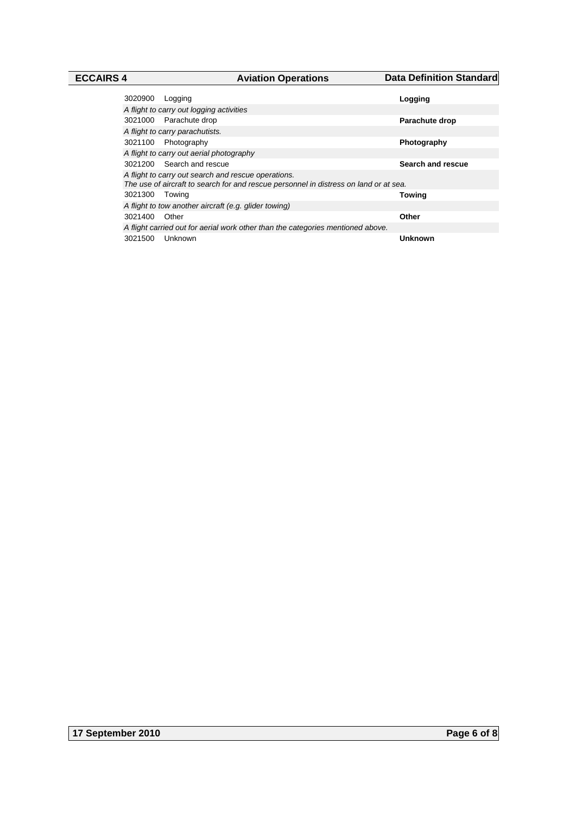**ECCAIRS 4 Aviation Operations Data Definition Standard** 

| Logging<br>3020900                                                                                                                           | Logging           |  |  |
|----------------------------------------------------------------------------------------------------------------------------------------------|-------------------|--|--|
| A flight to carry out logging activities                                                                                                     |                   |  |  |
| 3021000 Parachute drop                                                                                                                       | Parachute drop    |  |  |
| A flight to carry parachutists.                                                                                                              |                   |  |  |
| 3021100<br>Photography                                                                                                                       | Photography       |  |  |
| A flight to carry out aerial photography                                                                                                     |                   |  |  |
| 3021200 Search and rescue                                                                                                                    | Search and rescue |  |  |
| A flight to carry out search and rescue operations.<br>The use of aircraft to search for and rescue personnel in distress on land or at sea. |                   |  |  |
| 3021300<br>Towing                                                                                                                            | Towing            |  |  |
| A flight to tow another aircraft (e.g. glider towing)                                                                                        |                   |  |  |
| 3021400<br>Other                                                                                                                             | Other             |  |  |
| A flight carried out for aerial work other than the categories mentioned above.                                                              |                   |  |  |
| Unknown<br>3021500                                                                                                                           | Unknown           |  |  |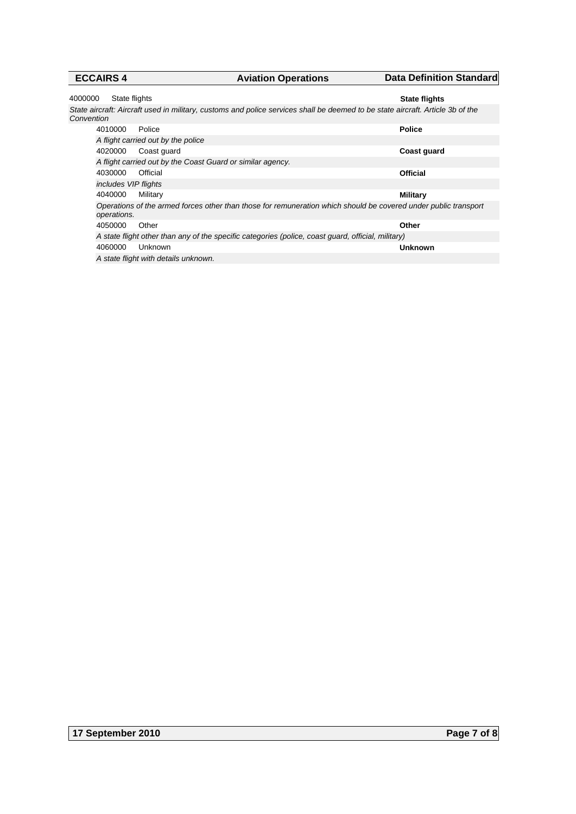| <b>ECCAIRS 4</b>                                                                                                                             |               | <b>Aviation Operations</b> | <b>Data Definition Standard</b> |
|----------------------------------------------------------------------------------------------------------------------------------------------|---------------|----------------------------|---------------------------------|
| 4000000                                                                                                                                      | State flights |                            | <b>State flights</b>            |
| State aircraft: Aircraft used in military, customs and police services shall be deemed to be state aircraft. Article 3b of the<br>Convention |               |                            |                                 |

| ention                                                                                                                         |                                                            |                 |  |
|--------------------------------------------------------------------------------------------------------------------------------|------------------------------------------------------------|-----------------|--|
| 4010000                                                                                                                        | Police                                                     | <b>Police</b>   |  |
| A flight carried out by the police                                                                                             |                                                            |                 |  |
| 4020000                                                                                                                        | Coast quard                                                | Coast guard     |  |
|                                                                                                                                | A flight carried out by the Coast Guard or similar agency. |                 |  |
| 4030000                                                                                                                        | Official                                                   | <b>Official</b> |  |
| includes VIP flights                                                                                                           |                                                            |                 |  |
| 4040000                                                                                                                        | Military                                                   | <b>Military</b> |  |
| Operations of the armed forces other than those for remuneration which should be covered under public transport<br>operations. |                                                            |                 |  |
| 4050000                                                                                                                        | Other                                                      | Other           |  |
| A state flight other than any of the specific categories (police, coast guard, official, military)                             |                                                            |                 |  |
| 4060000                                                                                                                        | Unknown                                                    | <b>Unknown</b>  |  |
|                                                                                                                                | A state flight with details unknown.                       |                 |  |